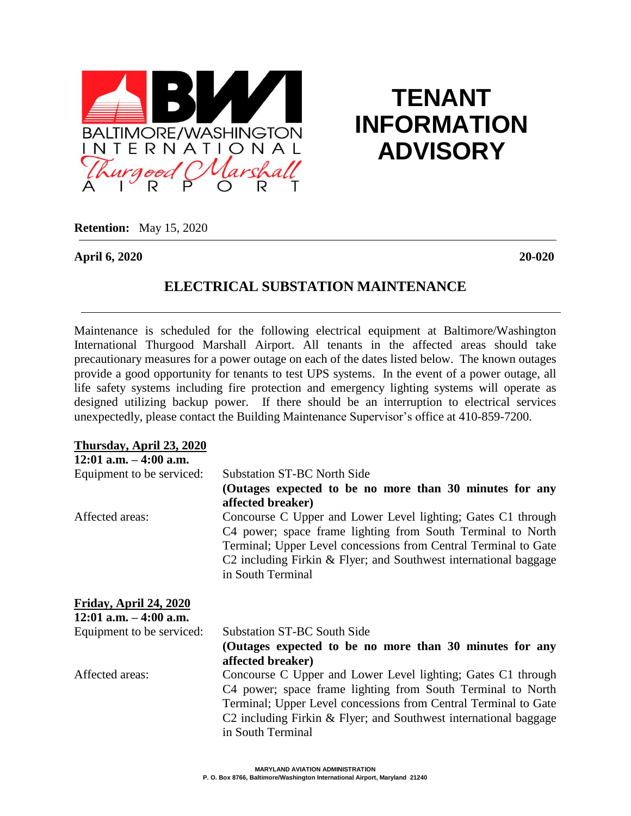

# **TENANT INFORMATION ADVISORY**

**Retention:** May 15, 2020

**April 6, 2020 20-020**

## **ELECTRICAL SUBSTATION MAINTENANCE**

Maintenance is scheduled for the following electrical equipment at Baltimore/Washington International Thurgood Marshall Airport. All tenants in the affected areas should take precautionary measures for a power outage on each of the dates listed below. The known outages provide a good opportunity for tenants to test UPS systems. In the event of a power outage, all life safety systems including fire protection and emergency lighting systems will operate as designed utilizing backup power. If there should be an interruption to electrical services unexpectedly, please contact the Building Maintenance Supervisor's office at 410-859-7200.

| Thursday, April 23, 2020                                   |                                                                                                                                                                                                                                                                                         |
|------------------------------------------------------------|-----------------------------------------------------------------------------------------------------------------------------------------------------------------------------------------------------------------------------------------------------------------------------------------|
| $12:01$ a.m. $-4:00$ a.m.                                  |                                                                                                                                                                                                                                                                                         |
| Equipment to be serviced:                                  | <b>Substation ST-BC North Side</b>                                                                                                                                                                                                                                                      |
|                                                            | (Outages expected to be no more than 30 minutes for any                                                                                                                                                                                                                                 |
|                                                            | affected breaker)                                                                                                                                                                                                                                                                       |
| Affected areas:                                            | Concourse C Upper and Lower Level lighting; Gates C1 through<br>C4 power; space frame lighting from South Terminal to North<br>Terminal; Upper Level concessions from Central Terminal to Gate<br>C2 including Firkin & Flyer; and Southwest international baggage<br>in South Terminal |
| <b>Friday, April 24, 2020</b><br>$12:01$ a.m. $-4:00$ a.m. |                                                                                                                                                                                                                                                                                         |
| Equipment to be serviced:                                  | <b>Substation ST-BC South Side</b>                                                                                                                                                                                                                                                      |
|                                                            | (Outages expected to be no more than 30 minutes for any                                                                                                                                                                                                                                 |
|                                                            | affected breaker)                                                                                                                                                                                                                                                                       |
| Affected areas:                                            | Concourse C Upper and Lower Level lighting; Gates C1 through                                                                                                                                                                                                                            |
|                                                            | C4 power; space frame lighting from South Terminal to North                                                                                                                                                                                                                             |
|                                                            | Terminal; Upper Level concessions from Central Terminal to Gate                                                                                                                                                                                                                         |
|                                                            | C2 including Firkin & Flyer; and Southwest international baggage                                                                                                                                                                                                                        |
|                                                            | in South Terminal                                                                                                                                                                                                                                                                       |